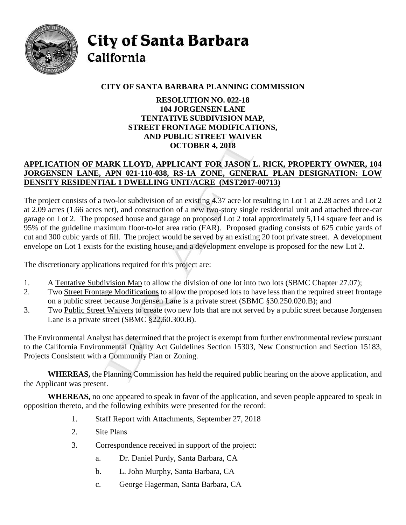

City of Santa Barbara California

# **CITY OF SANTA BARBARA PLANNING COMMISSION**

## **RESOLUTION NO. 022-18 104 JORGENSEN LANE TENTATIVE SUBDIVISION MAP, STREET FRONTAGE MODIFICATIONS, AND PUBLIC STREET WAIVER OCTOBER 4, 2018**

## **APPLICATION OF MARK LLOYD, APPLICANT FOR JASON L. RICK, PROPERTY OWNER, 104 JORGENSEN LANE, APN 021-110-038, RS-1A ZONE, GENERAL PLAN DESIGNATION: LOW DENSITY RESIDENTIAL 1 DWELLING UNIT/ACRE (MST2017-00713)**

The project consists of a two-lot subdivision of an existing 4.37 acre lot resulting in Lot 1 at 2.28 acres and Lot 2 at 2.09 acres (1.66 acres net), and construction of a new two-story single residential unit and attached three-car garage on Lot 2. The proposed house and garage on proposed Lot 2 total approximately 5,114 square feet and is 95% of the guideline maximum floor-to-lot area ratio (FAR). Proposed grading consists of 625 cubic yards of cut and 300 cubic yards of fill. The project would be served by an existing 20 foot private street. A development envelope on Lot 1 exists for the existing house, and a development envelope is proposed for the new Lot 2.

The discretionary applications required for this project are:

- 1. A Tentative Subdivision Map to allow the division of one lot into two lots (SBMC Chapter 27.07);
- 2. Two Street Frontage Modifications to allow the proposed lots to have less than the required street frontage on a public street because Jorgensen Lane is a private street (SBMC §30.250.020.B); and
- 3. Two Public Street Waivers to create two new lots that are not served by a public street because Jorgensen Lane is a private street (SBMC §22.60.300.B).

The Environmental Analyst has determined that the project is exempt from further environmental review pursuant to the California Environmental Quality Act Guidelines Section 15303, New Construction and Section 15183, Projects Consistent with a Community Plan or Zoning.

**WHEREAS,** the Planning Commission has held the required public hearing on the above application, and the Applicant was present.

**WHEREAS,** no one appeared to speak in favor of the application, and seven people appeared to speak in opposition thereto, and the following exhibits were presented for the record:

- 1. Staff Report with Attachments, September 27, 2018
- 2. Site Plans
- 3. Correspondence received in support of the project:
	- a. Dr. Daniel Purdy, Santa Barbara, CA
	- b. L. John Murphy, Santa Barbara, CA
	- c. George Hagerman, Santa Barbara, CA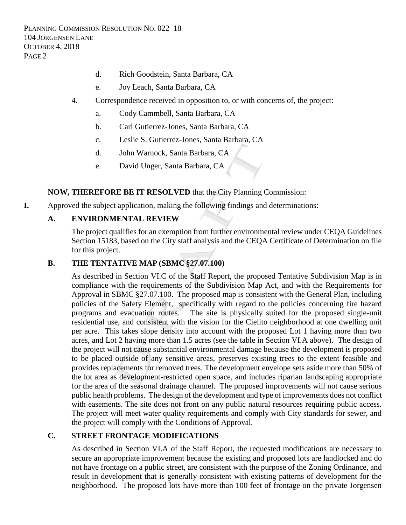- d. Rich Goodstein, Santa Barbara, CA
- e. Joy Leach, Santa Barbara, CA
- 4. Correspondence received in opposition to, or with concerns of, the project:
	- a. Cody Cammbell, Santa Barbara, CA
	- b. Carl Gutierrez-Jones, Santa Barbara, CA
	- c. Leslie S. Gutierrez-Jones, Santa Barbara, CA
	- d. John Warnock, Santa Barbara, CA
	- e. David Unger, Santa Barbara, CA

### **NOW, THEREFORE BE IT RESOLVED** that the City Planning Commission:

**I.** Approved the subject application, making the following findings and determinations:

### **A. ENVIRONMENTAL REVIEW**

The project qualifies for an exemption from further environmental review under CEQA Guidelines Section 15183, based on the City staff analysis and the CEQA Certificate of Determination on file for this project.

#### **B. THE TENTATIVE MAP (SBMC §27.07.100)**

As described in Section VI.C of the Staff Report, the proposed Tentative Subdivision Map is in compliance with the requirements of the Subdivision Map Act, and with the Requirements for Approval in SBMC §27.07.100. The proposed map is consistent with the General Plan, including policies of the Safety Element, specifically with regard to the policies concerning fire hazard programs and evacuation routes. The site is physically suited for the proposed single-unit residential use, and consistent with the vision for the Cielito neighborhood at one dwelling unit per acre. This takes slope density into account with the proposed Lot 1 having more than two acres, and Lot 2 having more than 1.5 acres (see the table in Section VI.A above). The design of the project will not cause substantial environmental damage because the development is proposed to be placed outside of any sensitive areas, preserves existing trees to the extent feasible and provides replacements for removed trees. The development envelope sets aside more than 50% of the lot area as development-restricted open space, and includes riparian landscaping appropriate for the area of the seasonal drainage channel. The proposed improvements will not cause serious public health problems. The design of the development and type of improvements does not conflict with easements. The site does not front on any public natural resources requiring public access. The project will meet water quality requirements and comply with City standards for sewer, and the project will comply with the Conditions of Approval.

### **C. STREET FRONTAGE MODIFICATIONS**

As described in Section VI.A of the Staff Report, the requested modifications are necessary to secure an appropriate improvement because the existing and proposed lots are landlocked and do not have frontage on a public street, are consistent with the purpose of the Zoning Ordinance, and result in development that is generally consistent with existing patterns of development for the neighborhood. The proposed lots have more than 100 feet of frontage on the private Jorgensen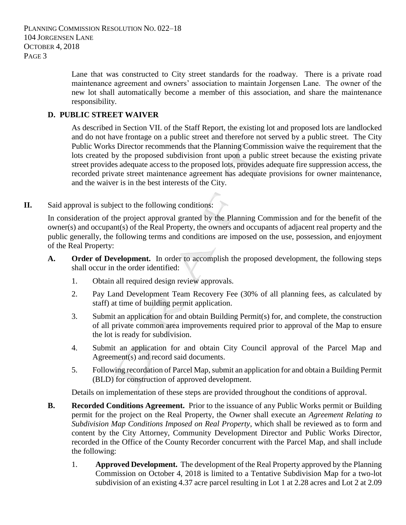> Lane that was constructed to City street standards for the roadway. There is a private road maintenance agreement and owners' association to maintain Jorgensen Lane. The owner of the new lot shall automatically become a member of this association, and share the maintenance responsibility.

## **D. PUBLIC STREET WAIVER**

As described in Section VII. of the Staff Report, the existing lot and proposed lots are landlocked and do not have frontage on a public street and therefore not served by a public street. The City Public Works Director recommends that the Planning Commission waive the requirement that the lots created by the proposed subdivision front upon a public street because the existing private street provides adequate access to the proposed lots, provides adequate fire suppression access, the recorded private street maintenance agreement has adequate provisions for owner maintenance, and the waiver is in the best interests of the City.

**II.** Said approval is subject to the following conditions:

In consideration of the project approval granted by the Planning Commission and for the benefit of the owner(s) and occupant(s) of the Real Property, the owners and occupants of adjacent real property and the public generally, the following terms and conditions are imposed on the use, possession, and enjoyment of the Real Property:

- **A. Order of Development.** In order to accomplish the proposed development, the following steps shall occur in the order identified:
	- 1. Obtain all required design review approvals.
	- 2. Pay Land Development Team Recovery Fee (30% of all planning fees, as calculated by staff) at time of building permit application.
	- 3. Submit an application for and obtain Building Permit(s) for, and complete, the construction of all private common area improvements required prior to approval of the Map to ensure the lot is ready for subdivision.
	- 4. Submit an application for and obtain City Council approval of the Parcel Map and Agreement(s) and record said documents.
	- 5. Following recordation of Parcel Map, submit an application for and obtain a Building Permit (BLD) for construction of approved development.

Details on implementation of these steps are provided throughout the conditions of approval.

- **B. Recorded Conditions Agreement.** Prior to the issuance of any Public Works permit or Building permit for the project on the Real Property, the Owner shall execute an *Agreement Relating to Subdivision Map Conditions Imposed on Real Property*, which shall be reviewed as to form and content by the City Attorney, Community Development Director and Public Works Director, recorded in the Office of the County Recorder concurrent with the Parcel Map, and shall include the following:
	- 1. **Approved Development.** The development of the Real Property approved by the Planning Commission on October 4, 2018 is limited to a Tentative Subdivision Map for a two-lot subdivision of an existing 4.37 acre parcel resulting in Lot 1 at 2.28 acres and Lot 2 at 2.09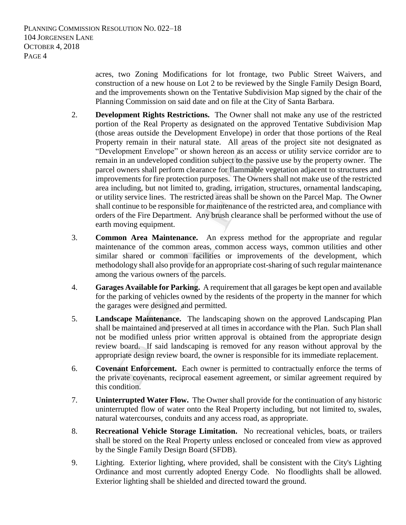acres, two Zoning Modifications for lot frontage, two Public Street Waivers, and construction of a new house on Lot 2 to be reviewed by the Single Family Design Board, and the improvements shown on the Tentative Subdivision Map signed by the chair of the Planning Commission on said date and on file at the City of Santa Barbara.

- 2. **Development Rights Restrictions.** The Owner shall not make any use of the restricted portion of the Real Property as designated on the approved Tentative Subdivision Map (those areas outside the Development Envelope) in order that those portions of the Real Property remain in their natural state. All areas of the project site not designated as "Development Envelope" or shown hereon as an access or utility service corridor are to remain in an undeveloped condition subject to the passive use by the property owner. The parcel owners shall perform clearance for flammable vegetation adjacent to structures and improvements for fire protection purposes. The Owners shall not make use of the restricted area including, but not limited to, grading, irrigation, structures, ornamental landscaping, or utility service lines. The restricted areas shall be shown on the Parcel Map. The Owner shall continue to be responsible for maintenance of the restricted area, and compliance with orders of the Fire Department. Any brush clearance shall be performed without the use of earth moving equipment.
- 3. **Common Area Maintenance.** An express method for the appropriate and regular maintenance of the common areas, common access ways, common utilities and other similar shared or common facilities or improvements of the development, which methodology shall also provide for an appropriate cost-sharing of such regular maintenance among the various owners of the parcels.
- 4. **Garages Available for Parking.** A requirement that all garages be kept open and available for the parking of vehicles owned by the residents of the property in the manner for which the garages were designed and permitted.
- 5. **Landscape Maintenance.** The landscaping shown on the approved Landscaping Plan shall be maintained and preserved at all times in accordance with the Plan. Such Plan shall not be modified unless prior written approval is obtained from the appropriate design review board. If said landscaping is removed for any reason without approval by the appropriate design review board, the owner is responsible for its immediate replacement.
- 6. **Covenant Enforcement.** Each owner is permitted to contractually enforce the terms of the private covenants, reciprocal easement agreement, or similar agreement required by this condition.
- 7. **Uninterrupted Water Flow.** The Owner shall provide for the continuation of any historic uninterrupted flow of water onto the Real Property including, but not limited to, swales, natural watercourses, conduits and any access road, as appropriate.
- 8. **Recreational Vehicle Storage Limitation.** No recreational vehicles, boats, or trailers shall be stored on the Real Property unless enclosed or concealed from view as approved by the Single Family Design Board (SFDB).
- 9. Lighting. Exterior lighting, where provided, shall be consistent with the City's Lighting Ordinance and most currently adopted Energy Code. No floodlights shall be allowed. Exterior lighting shall be shielded and directed toward the ground.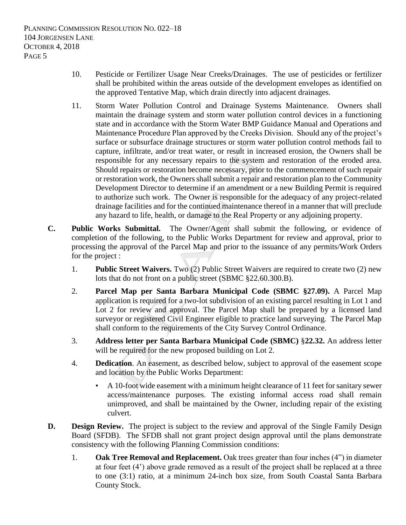- 10. Pesticide or Fertilizer Usage Near Creeks/Drainages. The use of pesticides or fertilizer shall be prohibited within the areas outside of the development envelopes as identified on the approved Tentative Map, which drain directly into adjacent drainages.
- 11. Storm Water Pollution Control and Drainage Systems Maintenance. Owners shall maintain the drainage system and storm water pollution control devices in a functioning state and in accordance with the Storm Water BMP Guidance Manual and Operations and Maintenance Procedure Plan approved by the Creeks Division. Should any of the project's surface or subsurface drainage structures or storm water pollution control methods fail to capture, infiltrate, and/or treat water, or result in increased erosion, the Owners shall be responsible for any necessary repairs to the system and restoration of the eroded area. Should repairs or restoration become necessary, prior to the commencement of such repair or restoration work, the Owners shall submit a repair and restoration plan to the Community Development Director to determine if an amendment or a new Building Permit is required to authorize such work. The Owner is responsible for the adequacy of any project-related drainage facilities and for the continued maintenance thereof in a manner that will preclude any hazard to life, health, or damage to the Real Property or any adjoining property.
- **C. Public Works Submittal.** The Owner/Agent shall submit the following, or evidence of completion of the following, to the Public Works Department for review and approval, prior to processing the approval of the Parcel Map and prior to the issuance of any permits/Work Orders for the project :
	- 1. **Public Street Waivers.** Two (2) Public Street Waivers are required to create two (2) new lots that do not front on a public street (SBMC §22.60.300.B).
	- 2. **Parcel Map per Santa Barbara Municipal Code (SBMC §27.09).** A Parcel Map application is required for a two-lot subdivision of an existing parcel resulting in Lot 1 and Lot 2 for review and approval. The Parcel Map shall be prepared by a licensed land surveyor or registered Civil Engineer eligible to practice land surveying. The Parcel Map shall conform to the requirements of the City Survey Control Ordinance.
	- 3. **Address letter per Santa Barbara Municipal Code (SBMC)** §**22.32.** An address letter will be required for the new proposed building on Lot 2.
	- 4. **Dedication**. An easement, as described below, subject to approval of the easement scope and location by the Public Works Department:
		- A 10-foot wide easement with a minimum height clearance of 11 feet for sanitary sewer access/maintenance purposes. The existing informal access road shall remain unimproved, and shall be maintained by the Owner, including repair of the existing culvert.
- **D. Design Review.** The project is subject to the review and approval of the Single Family Design Board (SFDB). The SFDB shall not grant project design approval until the plans demonstrate consistency with the following Planning Commission conditions:
	- 1. **Oak Tree Removal and Replacement.** Oak trees greater than four inches (4") in diameter at four feet (4') above grade removed as a result of the project shall be replaced at a three to one (3:1) ratio, at a minimum 24-inch box size, from South Coastal Santa Barbara County Stock.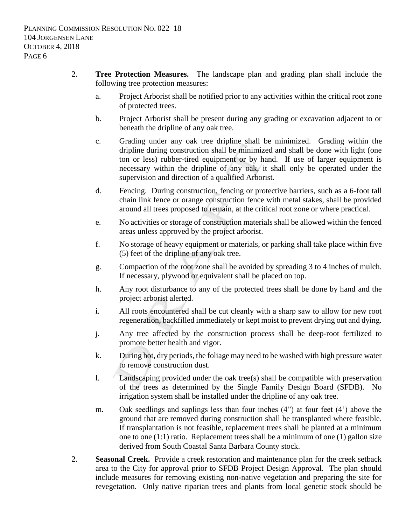- 2. **Tree Protection Measures.** The landscape plan and grading plan shall include the following tree protection measures:
	- a. Project Arborist shall be notified prior to any activities within the critical root zone of protected trees.
	- b. Project Arborist shall be present during any grading or excavation adjacent to or beneath the dripline of any oak tree.
	- c. Grading under any oak tree dripline shall be minimized. Grading within the dripline during construction shall be minimized and shall be done with light (one ton or less) rubber-tired equipment or by hand. If use of larger equipment is necessary within the dripline of any oak, it shall only be operated under the supervision and direction of a qualified Arborist.
	- d. Fencing. During construction, fencing or protective barriers, such as a 6-foot tall chain link fence or orange construction fence with metal stakes, shall be provided around all trees proposed to remain, at the critical root zone or where practical.
	- e. No activities or storage of construction materials shall be allowed within the fenced areas unless approved by the project arborist.
	- f. No storage of heavy equipment or materials, or parking shall take place within five (5) feet of the dripline of any oak tree.
	- g. Compaction of the root zone shall be avoided by spreading 3 to 4 inches of mulch. If necessary, plywood or equivalent shall be placed on top.
	- h. Any root disturbance to any of the protected trees shall be done by hand and the project arborist alerted.
	- i. All roots encountered shall be cut cleanly with a sharp saw to allow for new root regeneration, backfilled immediately or kept moist to prevent drying out and dying.
	- j. Any tree affected by the construction process shall be deep-root fertilized to promote better health and vigor.
	- k. During hot, dry periods, the foliage may need to be washed with high pressure water to remove construction dust.
	- l. Landscaping provided under the oak tree(s) shall be compatible with preservation of the trees as determined by the Single Family Design Board (SFDB). No irrigation system shall be installed under the dripline of any oak tree.
	- m. Oak seedlings and saplings less than four inches (4") at four feet (4') above the ground that are removed during construction shall be transplanted where feasible. If transplantation is not feasible, replacement trees shall be planted at a minimum one to one (1:1) ratio. Replacement trees shall be a minimum of one (1) gallon size derived from South Coastal Santa Barbara County stock.
- 2. **Seasonal Creek.** Provide a creek restoration and maintenance plan for the creek setback area to the City for approval prior to SFDB Project Design Approval. The plan should include measures for removing existing non-native vegetation and preparing the site for revegetation. Only native riparian trees and plants from local genetic stock should be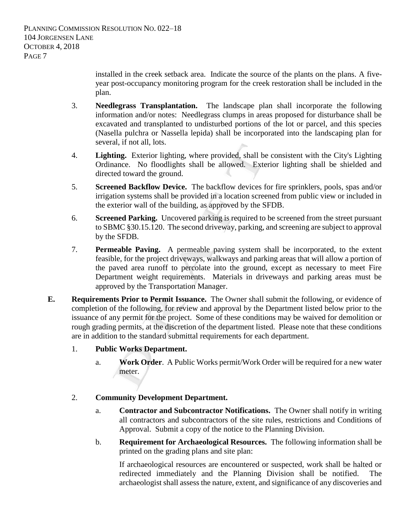installed in the creek setback area. Indicate the source of the plants on the plans. A fiveyear post-occupancy monitoring program for the creek restoration shall be included in the plan.

- 3. **Needlegrass Transplantation.** The landscape plan shall incorporate the following information and/or notes: Needlegrass clumps in areas proposed for disturbance shall be excavated and transplanted to undisturbed portions of the lot or parcel, and this species (Nasella pulchra or Nassella lepida) shall be incorporated into the landscaping plan for several, if not all, lots.
- 4. **Lighting.** Exterior lighting, where provided, shall be consistent with the City's Lighting Ordinance. No floodlights shall be allowed. Exterior lighting shall be shielded and directed toward the ground.
- 5. **Screened Backflow Device.** The backflow devices for fire sprinklers, pools, spas and/or irrigation systems shall be provided in a location screened from public view or included in the exterior wall of the building, as approved by the SFDB.
- 6. **Screened Parking.** Uncovered parking is required to be screened from the street pursuant to SBMC §30.15.120. The second driveway, parking, and screening are subject to approval by the SFDB.
- 7. **Permeable Paving.** A permeable paving system shall be incorporated, to the extent feasible, for the project driveways, walkways and parking areas that will allow a portion of the paved area runoff to percolate into the ground, except as necessary to meet Fire Department weight requirements. Materials in driveways and parking areas must be approved by the Transportation Manager.
- **E. Requirements Prior to Permit Issuance.** The Owner shall submit the following, or evidence of completion of the following, for review and approval by the Department listed below prior to the issuance of any permit for the project. Some of these conditions may be waived for demolition or rough grading permits, at the discretion of the department listed. Please note that these conditions are in addition to the standard submittal requirements for each department.
	- 1. **Public Works Department.**
		- a. **Work Order**. A Public Works permit/Work Order will be required for a new water meter.

### 2. **Community Development Department.**

- a. **Contractor and Subcontractor Notifications.** The Owner shall notify in writing all contractors and subcontractors of the site rules, restrictions and Conditions of Approval. Submit a copy of the notice to the Planning Division.
- b. **Requirement for Archaeological Resources.** The following information shall be printed on the grading plans and site plan:

If archaeological resources are encountered or suspected, work shall be halted or redirected immediately and the Planning Division shall be notified. The archaeologist shall assess the nature, extent, and significance of any discoveries and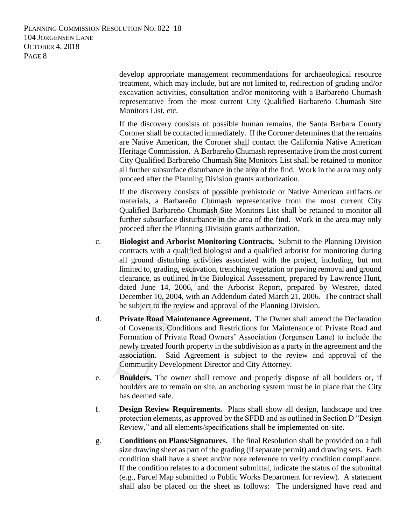> develop appropriate management recommendations for archaeological resource treatment, which may include, but are not limited to, redirection of grading and/or excavation activities, consultation and/or monitoring with a Barbareño Chumash representative from the most current City Qualified Barbareño Chumash Site Monitors List, etc.

> If the discovery consists of possible human remains, the Santa Barbara County Coroner shall be contacted immediately. If the Coroner determines that the remains are Native American, the Coroner shall contact the California Native American Heritage Commission. A Barbareño Chumash representative from the most current City Qualified Barbareño Chumash Site Monitors List shall be retained to monitor all further subsurface disturbance in the area of the find. Work in the area may only proceed after the Planning Division grants authorization.

> If the discovery consists of possible prehistoric or Native American artifacts or materials, a Barbareño Chumash representative from the most current City Qualified Barbareño Chumash Site Monitors List shall be retained to monitor all further subsurface disturbance in the area of the find. Work in the area may only proceed after the Planning Division grants authorization.

- c. **Biologist and Arborist Monitoring Contracts.** Submit to the Planning Division contracts with a qualified biologist and a qualified arborist for monitoring during all ground disturbing activities associated with the project, including, but not limited to, grading, excavation, trenching vegetation or paving removal and ground clearance, as outlined in the Biological Assessment, prepared by Lawrence Hunt, dated June 14, 2006, and the Arborist Report, prepared by Westree, dated December 10, 2004, with an Addendum dated March 21, 2006. The contract shall be subject to the review and approval of the Planning Division.
- d. **Private Road Maintenance Agreement.** The Owner shall amend the Declaration of Covenants, Conditions and Restrictions for Maintenance of Private Road and Formation of Private Road Owners' Association (Jorgensen Lane) to include the newly created fourth property in the subdivision as a party in the agreement and the association. Said Agreement is subject to the review and approval of the Community Development Director and City Attorney.
- e. **Boulders.** The owner shall remove and properly dispose of all boulders or, if boulders are to remain on site, an anchoring system must be in place that the City has deemed safe.
- f. **Design Review Requirements.** Plans shall show all design, landscape and tree protection elements, as approved by the SFDB and as outlined in Section D "Design Review," and all elements/specifications shall be implemented on-site.
- g. **Conditions on Plans/Signatures.** The final Resolution shall be provided on a full size drawing sheet as part of the grading (if separate permit) and drawing sets. Each condition shall have a sheet and/or note reference to verify condition compliance. If the condition relates to a document submittal, indicate the status of the submittal (e.g., Parcel Map submitted to Public Works Department for review). A statement shall also be placed on the sheet as follows: The undersigned have read and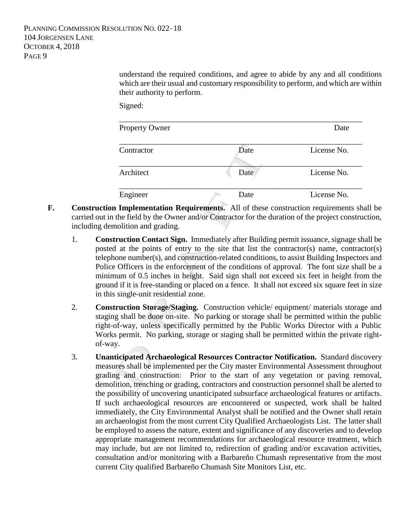> understand the required conditions, and agree to abide by any and all conditions which are their usual and customary responsibility to perform, and which are within their authority to perform.

Signed:

| Property Owner |                   | Date        |
|----------------|-------------------|-------------|
| Contractor     | Date              | License No. |
| Architect      | Date              | License No. |
| Engineer       | Date<br>allow the | License No. |

- **F. Construction Implementation Requirements.** All of these construction requirements shall be carried out in the field by the Owner and/or Contractor for the duration of the project construction, including demolition and grading.
	- 1. **Construction Contact Sign.** Immediately after Building permit issuance, signage shall be posted at the points of entry to the site that list the contractor(s) name, contractor(s) telephone number(s), and construction-related conditions, to assist Building Inspectors and Police Officers in the enforcement of the conditions of approval. The font size shall be a minimum of 0.5 inches in height. Said sign shall not exceed six feet in height from the ground if it is free-standing or placed on a fence. It shall not exceed six square feet in size in this single-unit residential zone.
	- 2. **Construction Storage/Staging.** Construction vehicle/ equipment/ materials storage and staging shall be done on-site. No parking or storage shall be permitted within the public right-of-way, unless specifically permitted by the Public Works Director with a Public Works permit. No parking, storage or staging shall be permitted within the private rightof-way.
	- 3. **Unanticipated Archaeological Resources Contractor Notification.** Standard discovery measures shall be implemented per the City master Environmental Assessment throughout grading and construction: Prior to the start of any vegetation or paving removal, demolition, trenching or grading, contractors and construction personnel shall be alerted to the possibility of uncovering unanticipated subsurface archaeological features or artifacts. If such archaeological resources are encountered or suspected, work shall be halted immediately, the City Environmental Analyst shall be notified and the Owner shall retain an archaeologist from the most current City Qualified Archaeologists List. The latter shall be employed to assess the nature, extent and significance of any discoveries and to develop appropriate management recommendations for archaeological resource treatment, which may include, but are not limited to, redirection of grading and/or excavation activities, consultation and/or monitoring with a Barbareño Chumash representative from the most current City qualified Barbareño Chumash Site Monitors List, etc.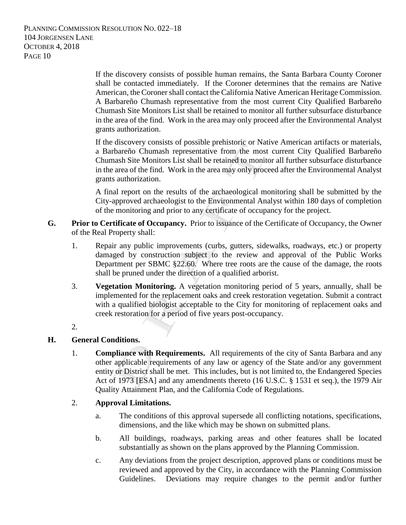> If the discovery consists of possible human remains, the Santa Barbara County Coroner shall be contacted immediately. If the Coroner determines that the remains are Native American, the Coroner shall contact the California Native American Heritage Commission. A Barbareño Chumash representative from the most current City Qualified Barbareño Chumash Site Monitors List shall be retained to monitor all further subsurface disturbance in the area of the find. Work in the area may only proceed after the Environmental Analyst grants authorization.

> If the discovery consists of possible prehistoric or Native American artifacts or materials, a Barbareño Chumash representative from the most current City Qualified Barbareño Chumash Site Monitors List shall be retained to monitor all further subsurface disturbance in the area of the find. Work in the area may only proceed after the Environmental Analyst grants authorization.

> A final report on the results of the archaeological monitoring shall be submitted by the City-approved archaeologist to the Environmental Analyst within 180 days of completion of the monitoring and prior to any certificate of occupancy for the project.

- **G. Prior to Certificate of Occupancy.** Prior to issuance of the Certificate of Occupancy, the Owner of the Real Property shall:
	- 1. Repair any public improvements (curbs, gutters, sidewalks, roadways, etc.) or property damaged by construction subject to the review and approval of the Public Works Department per SBMC §22.60. Where tree roots are the cause of the damage, the roots shall be pruned under the direction of a qualified arborist.
	- 3. **Vegetation Monitoring.** A vegetation monitoring period of 5 years, annually, shall be implemented for the replacement oaks and creek restoration vegetation. Submit a contract with a qualified biologist acceptable to the City for monitoring of replacement oaks and creek restoration for a period of five years post-occupancy.
	- 2.

### **H. General Conditions.**

- 1. **Compliance with Requirements.** All requirements of the city of Santa Barbara and any other applicable requirements of any law or agency of the State and/or any government entity or District shall be met. This includes, but is not limited to, the Endangered Species Act of 1973 [ESA] and any amendments thereto (16 U.S.C. § 1531 et seq.), the 1979 Air Quality Attainment Plan, and the California Code of Regulations.
- 2. **Approval Limitations.** 
	- a. The conditions of this approval supersede all conflicting notations, specifications, dimensions, and the like which may be shown on submitted plans.
	- b. All buildings, roadways, parking areas and other features shall be located substantially as shown on the plans approved by the Planning Commission.
	- c. Any deviations from the project description, approved plans or conditions must be reviewed and approved by the City, in accordance with the Planning Commission Guidelines. Deviations may require changes to the permit and/or further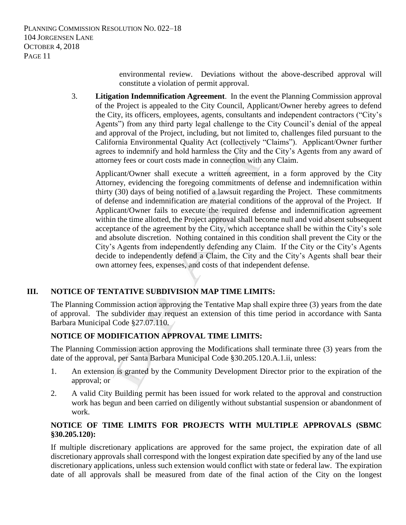environmental review. Deviations without the above-described approval will constitute a violation of permit approval.

3. **Litigation Indemnification Agreement**.In the event the Planning Commission approval of the Project is appealed to the City Council, Applicant/Owner hereby agrees to defend the City, its officers, employees, agents, consultants and independent contractors ("City's Agents") from any third party legal challenge to the City Council's denial of the appeal and approval of the Project, including, but not limited to, challenges filed pursuant to the California Environmental Quality Act (collectively "Claims"). Applicant/Owner further agrees to indemnify and hold harmless the City and the City's Agents from any award of attorney fees or court costs made in connection with any Claim.

Applicant/Owner shall execute a written agreement, in a form approved by the City Attorney, evidencing the foregoing commitments of defense and indemnification within thirty (30) days of being notified of a lawsuit regarding the Project. These commitments of defense and indemnification are material conditions of the approval of the Project. If Applicant/Owner fails to execute the required defense and indemnification agreement within the time allotted, the Project approval shall become null and void absent subsequent acceptance of the agreement by the City, which acceptance shall be within the City's sole and absolute discretion. Nothing contained in this condition shall prevent the City or the City's Agents from independently defending any Claim. If the City or the City's Agents decide to independently defend a Claim, the City and the City's Agents shall bear their own attorney fees, expenses, and costs of that independent defense.

# **III. NOTICE OF TENTATIVE SUBDIVISION MAP TIME LIMITS:**

The Planning Commission action approving the Tentative Map shall expire three (3) years from the date of approval. The subdivider may request an extension of this time period in accordance with Santa Barbara Municipal Code §27.07.110.

# **NOTICE OF MODIFICATION APPROVAL TIME LIMITS:**

The Planning Commission action approving the Modifications shall terminate three (3) years from the date of the approval, per Santa Barbara Municipal Code §30.205.120.A.1.ii, unless:

- 1. An extension is granted by the Community Development Director prior to the expiration of the approval; or
- 2. A valid City Building permit has been issued for work related to the approval and construction work has begun and been carried on diligently without substantial suspension or abandonment of work.

# **NOTICE OF TIME LIMITS FOR PROJECTS WITH MULTIPLE APPROVALS (SBMC §30.205.120):**

If multiple discretionary applications are approved for the same project, the expiration date of all discretionary approvals shall correspond with the longest expiration date specified by any of the land use discretionary applications, unless such extension would conflict with state or federal law. The expiration date of all approvals shall be measured from date of the final action of the City on the longest